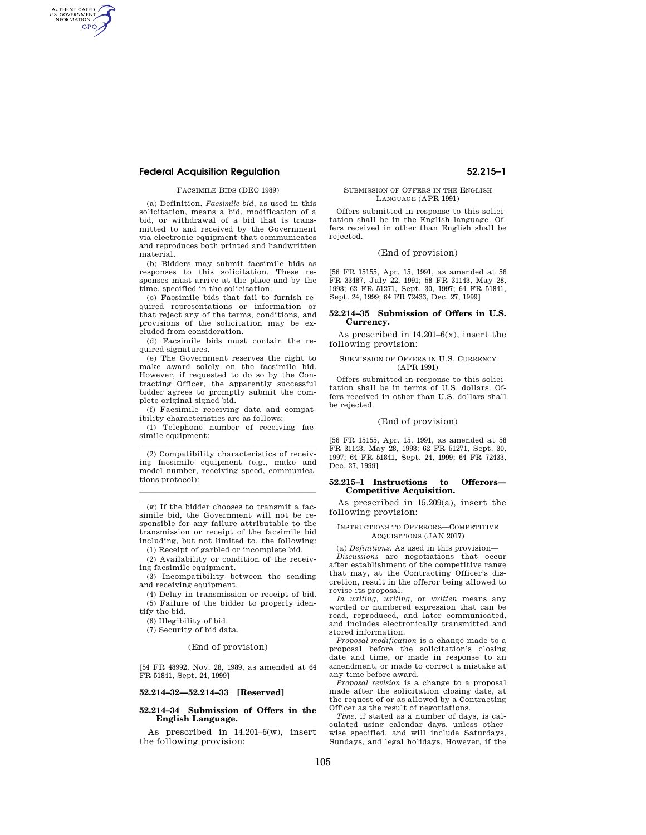# **Federal Acquisition Regulation 52.215–1**

AUTHENTICATED<br>U.S. GOVERNMENT<br>INFORMATION **GPO** 

### FACSIMILE BIDS (DEC 1989)

(a) Definition. *Facsimile bid,* as used in this solicitation, means a bid, modification of a bid, or withdrawal of a bid that is transmitted to and received by the Government via electronic equipment that communicates and reproduces both printed and handwritten material.

(b) Bidders may submit facsimile bids as responses to this solicitation. These responses must arrive at the place and by the time, specified in the solicitation.

(c) Facsimile bids that fail to furnish required representations or information or that reject any of the terms, conditions, and provisions of the solicitation may be excluded from consideration.

(d) Facsimile bids must contain the required signatures.

(e) The Government reserves the right to make award solely on the facsimile bid. However, if requested to do so by the Contracting Officer, the apparently successful bidder agrees to promptly submit the complete original signed bid.

(f) Facsimile receiving data and compatibility characteristics are as follows:

(1) Telephone number of receiving facsimile equipment:

 $\alpha$  (2) Compatibility characteristics of receiving facsimile equipment (e.g., make and model number, receiving speed, communications protocol):

llland av den stad av den stad av den stad av den stad av den stad av den stad av den stad av den stad av den

 $(g)$  If the bidder chooses to transmit a facsimile bid, the Government will not be responsible for any failure attributable to the transmission or receipt of the facsimile bid including, but not limited to, the following:

(1) Receipt of garbled or incomplete bid.

(2) Availability or condition of the receiving facsimile equipment.

(3) Incompatibility between the sending and receiving equipment.

(4) Delay in transmission or receipt of bid. (5) Failure of the bidder to properly iden-

tify the bid.

(6) Illegibility of bid.

(7) Security of bid data.

#### (End of provision)

[54 FR 48992, Nov. 28, 1989, as amended at 64 FR 51841, Sept. 24, 1999]

### **52.214–32—52.214–33 [Reserved]**

### **52.214–34 Submission of Offers in the English Language.**

As prescribed in 14.201–6(w), insert the following provision:

#### SUBMISSION OF OFFERS IN THE ENGLISH LANGUAGE (APR 1991)

Offers submitted in response to this solicitation shall be in the English language. Offers received in other than English shall be rejected.

#### (End of provision)

[56 FR 15155, Apr. 15, 1991, as amended at 56 FR 33487, July 22, 1991; 58 FR 31143, May 28, 1993; 62 FR 51271, Sept. 30, 1997; 64 FR 51841, Sept. 24, 1999; 64 FR 72433, Dec. 27, 1999]

#### **52.214–35 Submission of Offers in U.S. Currency.**

As prescribed in 14.201–6(x), insert the following provision:

SUBMISSION OF OFFERS IN U.S. CURRENCY (APR 1991)

Offers submitted in response to this solicitation shall be in terms of U.S. dollars. Offers received in other than U.S. dollars shall be rejected.

## (End of provision)

[56 FR 15155, Apr. 15, 1991, as amended at 58 FR 31143, May 28, 1993; 62 FR 51271, Sept. 30, 1997; 64 FR 51841, Sept. 24, 1999; 64 FR 72433, Dec. 27, 1999]

### **52.215–1 Instructions to Offerors— Competitive Acquisition.**

As prescribed in 15.209(a), insert the following provision:

#### INSTRUCTIONS TO OFFERORS—COMPETITIVE ACQUISITIONS (JAN 2017)

(a) *Definitions.* As used in this provision— *Discussions* are negotiations that occur after establishment of the competitive range that may, at the Contracting Officer's discretion, result in the offeror being allowed to revise its proposal.

*In writing, writing,* or *written* means any worded or numbered expression that can be read, reproduced, and later communicated, and includes electronically transmitted and stored information.

*Proposal modification* is a change made to a proposal before the solicitation's closing date and time, or made in response to an amendment, or made to correct a mistake at any time before award.

*Proposal revision* is a change to a proposal made after the solicitation closing date, at the request of or as allowed by a Contracting Officer as the result of negotiations.

*Time,* if stated as a number of days, is calculated using calendar days, unless otherwise specified, and will include Saturdays, Sundays, and legal holidays. However, if the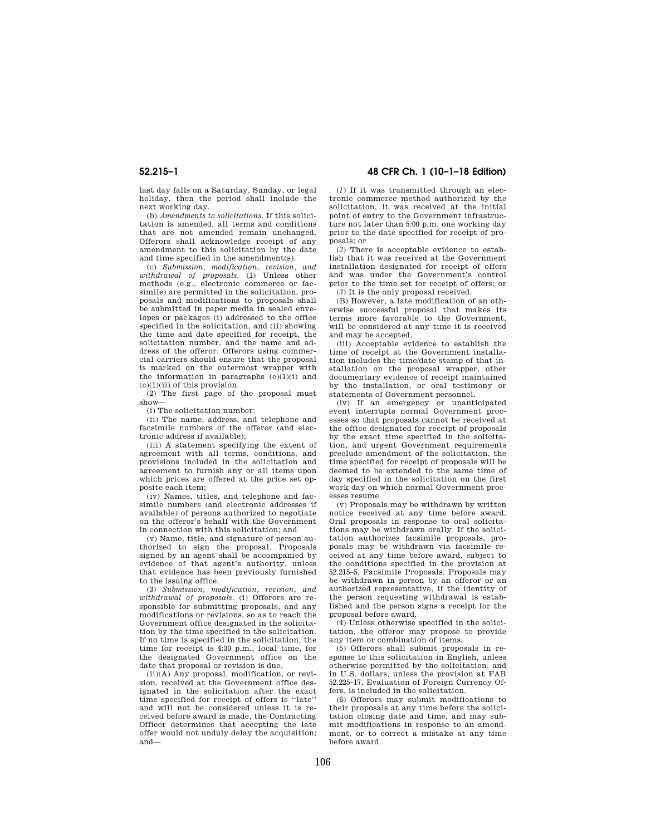last day falls on a Saturday, Sunday, or legal holiday, then the period shall include the next working day.

(b) *Amendments to solicitations.* If this solicitation is amended, all terms and conditions that are not amended remain unchanged. Offerors shall acknowledge receipt of any amendment to this solicitation by the date and time specified in the amendment(s).

(c) *Submission, modification, revision, and withdrawal of proposals.* (1) Unless other methods (e.g., electronic commerce or facsimile) are permitted in the solicitation, proposals and modifications to proposals shall be submitted in paper media in sealed envelopes or packages (i) addressed to the office specified in the solicitation, and (ii) showing the time and date specified for receipt, the solicitation number, and the name and address of the offeror. Offerors using commercial carriers should ensure that the proposal is marked on the outermost wrapper with the information in paragraphs  $(c)(1)(i)$  and  $(c)(1)(ii)$  of this provision.

(2) The first page of the proposal must show—

(i) The solicitation number;

(ii) The name, address, and telephone and facsimile numbers of the offeror (and electronic address if available);

(iii) A statement specifying the extent of agreement with all terms, conditions, and provisions included in the solicitation and agreement to furnish any or all items upon which prices are offered at the price set opposite each item;

(iv) Names, titles, and telephone and facsimile numbers (and electronic addresses if available) of persons authorized to negotiate on the offeror's behalf with the Government in connection with this solicitation; and

(v) Name, title, and signature of person authorized to sign the proposal. Proposals signed by an agent shall be accompanied by evidence of that agent's authority, unless that evidence has been previously furnished to the issuing office.

(3) *Submission, modification, revision, and withdrawal of proposals.* (i) Offerors are responsible for submitting proposals, and any modifications or revisions, so as to reach the Government office designated in the solicitation by the time specified in the solicitation. If no time is specified in the solicitation, the time for receipt is 4:30 p.m., local time, for the designated Government office on the date that proposal or revision is due.

(ii)(A) Any proposal, modification, or revision, received at the Government office designated in the solicitation after the exact time specified for receipt of offers is ''late'' and will not be considered unless it is received before award is made, the Contracting Officer determines that accepting the late offer would not unduly delay the acquisition; and—

**52.215–1 48 CFR Ch. 1 (10–1–18 Edition)** 

(*1*) If it was transmitted through an electronic commerce method authorized by the solicitation, it was received at the initial point of entry to the Government infrastructure not later than 5:00 p.m. one working day prior to the date specified for receipt of proposals; or

(*2*) There is acceptable evidence to establish that it was received at the Government installation designated for receipt of offers and was under the Government's control prior to the time set for receipt of offers; or (*3*) It is the only proposal received.

(B) However, a late modification of an otherwise successful proposal that makes its terms more favorable to the Government, will be considered at any time it is received and may be accepted.

(iii) Acceptable evidence to establish the time of receipt at the Government installation includes the time/date stamp of that installation on the proposal wrapper, other documentary evidence of receipt maintained by the installation, or oral testimony or statements of Government personnel.

(iv) If an emergency or unanticipated event interrupts normal Government processes so that proposals cannot be received at the office designated for receipt of proposals by the exact time specified in the solicitation, and urgent Government requirements preclude amendment of the solicitation, the time specified for receipt of proposals will be deemed to be extended to the same time of day specified in the solicitation on the first work day on which normal Government processes resume.

(v) Proposals may be withdrawn by written notice received at any time before award. Oral proposals in response to oral solicitations may be withdrawn orally. If the solicitation authorizes facsimile proposals, proposals may be withdrawn via facsimile received at any time before award, subject to the conditions specified in the provision at 52.215–5, Facsimile Proposals. Proposals may be withdrawn in person by an offeror or an authorized representative, if the identity of the person requesting withdrawal is established and the person signs a receipt for the proposal before award.

(4) Unless otherwise specified in the solicitation, the offeror may propose to provide any item or combination of items.

(5) Offerors shall submit proposals in response to this solicitation in English, unless otherwise permitted by the solicitation, and in U.S. dollars, unless the provision at FAR 52.225–17, Evaluation of Foreign Currency Offers, is included in the solicitation.

(6) Offerors may submit modifications to their proposals at any time before the solicitation closing date and time, and may submit modifications in response to an amendment, or to correct a mistake at any time before award.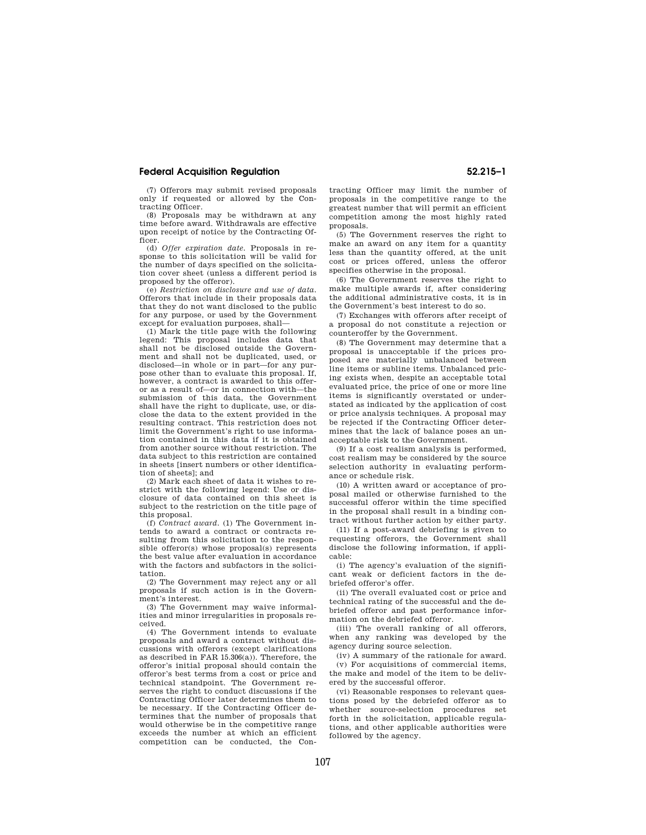## **Federal Acquisition Regulation 52.215–1**

(7) Offerors may submit revised proposals only if requested or allowed by the Contracting Officer.

(8) Proposals may be withdrawn at any time before award. Withdrawals are effective upon receipt of notice by the Contracting Officer.

(d) *Offer expiration date.* Proposals in response to this solicitation will be valid for the number of days specified on the solicitation cover sheet (unless a different period is proposed by the offeror).

(e) *Restriction on disclosure and use of data.*  Offerors that include in their proposals data that they do not want disclosed to the public for any purpose, or used by the Government except for evaluation purposes, shall—

(1) Mark the title page with the following legend: This proposal includes data that shall not be disclosed outside the Government and shall not be duplicated, used, or disclosed—in whole or in part—for any purpose other than to evaluate this proposal. If, however, a contract is awarded to this offeror as a result of—or in connection with—the submission of this data, the Government shall have the right to duplicate, use, or disclose the data to the extent provided in the resulting contract. This restriction does not limit the Government's right to use information contained in this data if it is obtained from another source without restriction. The data subject to this restriction are contained in sheets [insert numbers or other identification of sheets]; and

(2) Mark each sheet of data it wishes to restrict with the following legend: Use or disclosure of data contained on this sheet is subject to the restriction on the title page of this proposal.

(f) *Contract award.* (1) The Government intends to award a contract or contracts resulting from this solicitation to the responsible offeror(s) whose proposal(s) represents the best value after evaluation in accordance with the factors and subfactors in the solicitation.

(2) The Government may reject any or all proposals if such action is in the Government's interest.

(3) The Government may waive informalities and minor irregularities in proposals received.

(4) The Government intends to evaluate proposals and award a contract without discussions with offerors (except clarifications as described in FAR 15.306(a)). Therefore, the offeror's initial proposal should contain the offeror's best terms from a cost or price and technical standpoint. The Government reserves the right to conduct discussions if the Contracting Officer later determines them to be necessary. If the Contracting Officer determines that the number of proposals that would otherwise be in the competitive range exceeds the number at which an efficient competition can be conducted, the Con-

tracting Officer may limit the number of proposals in the competitive range to the greatest number that will permit an efficient competition among the most highly rated proposals.

(5) The Government reserves the right to make an award on any item for a quantity less than the quantity offered, at the unit cost or prices offered, unless the offeror specifies otherwise in the proposal.

(6) The Government reserves the right to make multiple awards if, after considering the additional administrative costs, it is in the Government's best interest to do so.

(7) Exchanges with offerors after receipt of a proposal do not constitute a rejection or counteroffer by the Government.

(8) The Government may determine that a proposal is unacceptable if the prices proposed are materially unbalanced between line items or subline items. Unbalanced pricing exists when, despite an acceptable total evaluated price, the price of one or more line items is significantly overstated or understated as indicated by the application of cost or price analysis techniques. A proposal may be rejected if the Contracting Officer determines that the lack of balance poses an unacceptable risk to the Government.

(9) If a cost realism analysis is performed, cost realism may be considered by the source selection authority in evaluating performance or schedule risk.

(10) A written award or acceptance of proposal mailed or otherwise furnished to the successful offeror within the time specified in the proposal shall result in a binding contract without further action by either party.

(11) If a post-award debriefing is given to requesting offerors, the Government shall disclose the following information, if applicable:

(i) The agency's evaluation of the significant weak or deficient factors in the debriefed offeror's offer.

(ii) The overall evaluated cost or price and technical rating of the successful and the debriefed offeror and past performance information on the debriefed offeror.

(iii) The overall ranking of all offerors, when any ranking was developed by the agency during source selection.

(iv) A summary of the rationale for award. (v) For acquisitions of commercial items, the make and model of the item to be delivered by the successful offeror.

(vi) Reasonable responses to relevant questions posed by the debriefed offeror as to whether source-selection procedures set forth in the solicitation, applicable regulations, and other applicable authorities were followed by the agency.